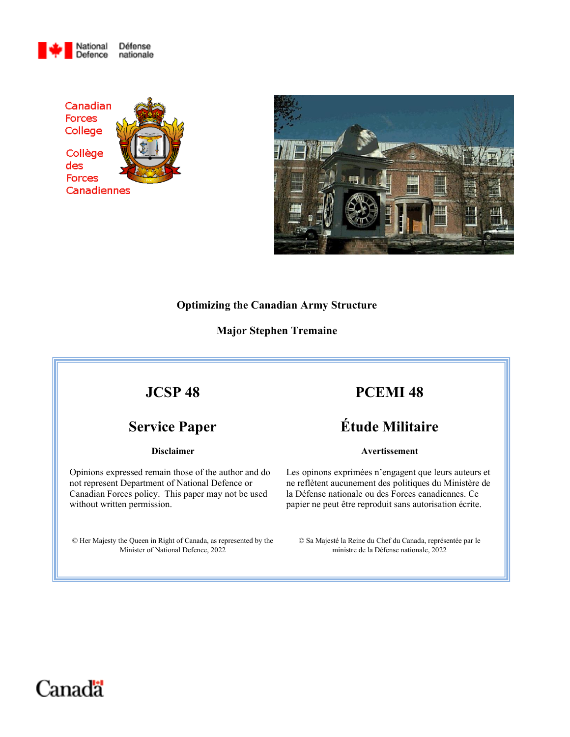





#### **Optimizing the Canadian Army Structure**

## **Major Stephen Tremaine**

# **JCSP 48**

# **Service Paper**

#### **Disclaimer**

Opinions expressed remain those of the author and do not represent Department of National Defence or Canadian Forces policy. This paper may not be used without written permission.

© Her Majesty the Queen in Right of Canada, as represented by the Minister of National Defence, 2022

# **PCEMI 48**

# **Étude Militaire**

#### **Avertissement**

Les opinons exprimées n'engagent que leurs auteurs et ne reflètent aucunement des politiques du Ministère de la Défense nationale ou des Forces canadiennes. Ce papier ne peut être reproduit sans autorisation écrite.

© Sa Majesté la Reine du Chef du Canada, représentée par le ministre de la Défense nationale, 2022

# Canadä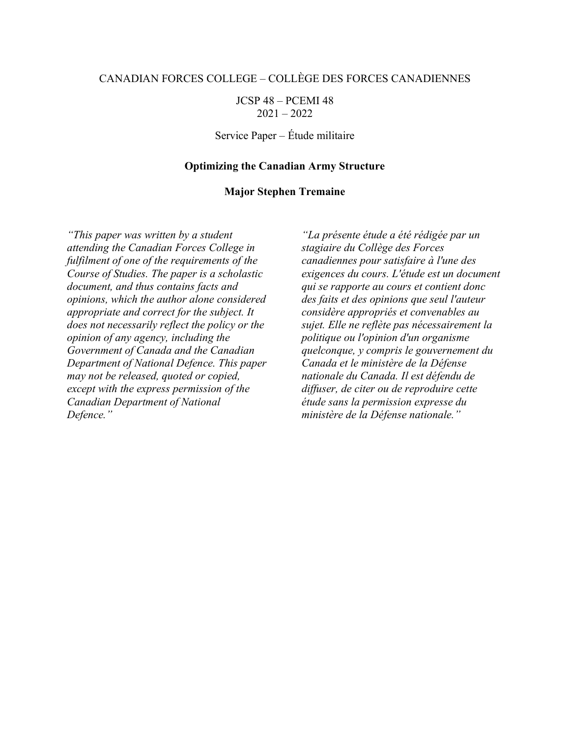### CANADIAN FORCES COLLEGE – COLLEGE DES FORCES CANADIENNES

JCSP 48 – PCEMI 48 2021 – 2022

Service Paper – Etude militaire

#### **Optimizing the Canadian Army Structure**

#### **Major Stephen Tremaine**

*"This paper was written by a student attending the Canadian Forces College in fulfilment of one of the requirements of the Course of Studies. The paper is a scholastic document, and thus contains facts and opinions, which the author alone considered appropriate and correct for the subject. It does not necessarily reflect the policy or the opinion of any agency, including the Government of Canada and the Canadian Department of National Defence. This paper may not be released, quoted or copied, except with the express permission of the Canadian Department of National Defence."* 

*"La presente etude a ete redigee par un stagiaire du College des Forces canadiennes pour satisfaire a l'une des exigences du cours. L'etude est un document qui se rapporte au cours et contient donc des faits et des opinions que seul l'auteur considere appropries et convenables au sujet. Elle ne reflete pas necessairement la politique ou l'opinion d'un organisme quelconque, y compris le gouvernement du Canada et le ministere de la Defense nationale du Canada. Il est defendu de diffuser, de citer ou de reproduire cette etude sans la permission expresse du ministere de la Defense nationale."*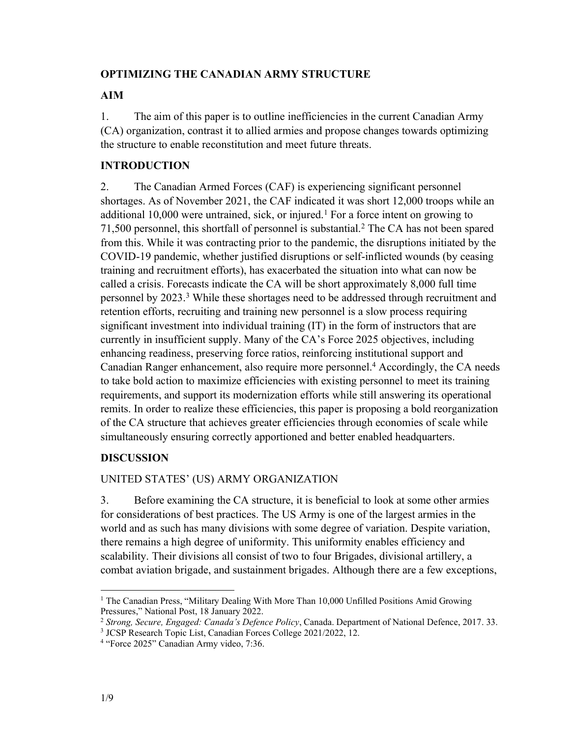## **OPTIMIZING THE CANADIAN ARMY STRUCTURE**

## **AIM**

1. The aim of this paper is to outline inefficiencies in the current Canadian Army (CA) organization, contrast it to allied armies and propose changes towards optimizing the structure to enable reconstitution and meet future threats.

# **INTRODUCTION**

2. The Canadian Armed Forces (CAF) is experiencing significant personnel shortages. As of November 2021, the CAF indicated it was short 12,000 troops while an additional 10,000 were untrained, sick, or injured.<sup>1</sup> For a force intent on growing to 71,500 personnel, this shortfall of personnel is substantial.2 The CA has not been spared from this. While it was contracting prior to the pandemic, the disruptions initiated by the COVID-19 pandemic, whether justified disruptions or self-inflicted wounds (by ceasing training and recruitment efforts), has exacerbated the situation into what can now be called a crisis. Forecasts indicate the CA will be short approximately 8,000 full time personnel by 2023. <sup>3</sup> While these shortages need to be addressed through recruitment and retention efforts, recruiting and training new personnel is a slow process requiring significant investment into individual training (IT) in the form of instructors that are currently in insufficient supply. Many of the CA's Force 2025 objectives, including enhancing readiness, preserving force ratios, reinforcing institutional support and Canadian Ranger enhancement, also require more personnel. <sup>4</sup> Accordingly, the CA needs to take bold action to maximize efficiencies with existing personnel to meet its training requirements, and support its modernization efforts while still answering its operational remits. In order to realize these efficiencies, this paper is proposing a bold reorganization of the CA structure that achieves greater efficiencies through economies of scale while simultaneously ensuring correctly apportioned and better enabled headquarters.

## **DISCUSSION**

# UNITED STATES' (US) ARMY ORGANIZATION

3. Before examining the CA structure, it is beneficial to look at some other armies for considerations of best practices. The US Army is one of the largest armies in the world and as such has many divisions with some degree of variation. Despite variation, there remains a high degree of uniformity. This uniformity enables efficiency and scalability. Their divisions all consist of two to four Brigades, divisional artillery, a combat aviation brigade, and sustainment brigades. Although there are a few exceptions,

<sup>&</sup>lt;sup>1</sup> The Canadian Press, "Military Dealing With More Than 10,000 Unfilled Positions Amid Growing Pressures," National Post, 18 January 2022.

<sup>2</sup> *Strong, Secure, Engaged: Canada's Defence Policy*, Canada. Department of National Defence, 2017. 33.

<sup>3</sup> JCSP Research Topic List, Canadian Forces College 2021/2022, 12.

<sup>4</sup> "Force 2025" Canadian Army video, 7:36.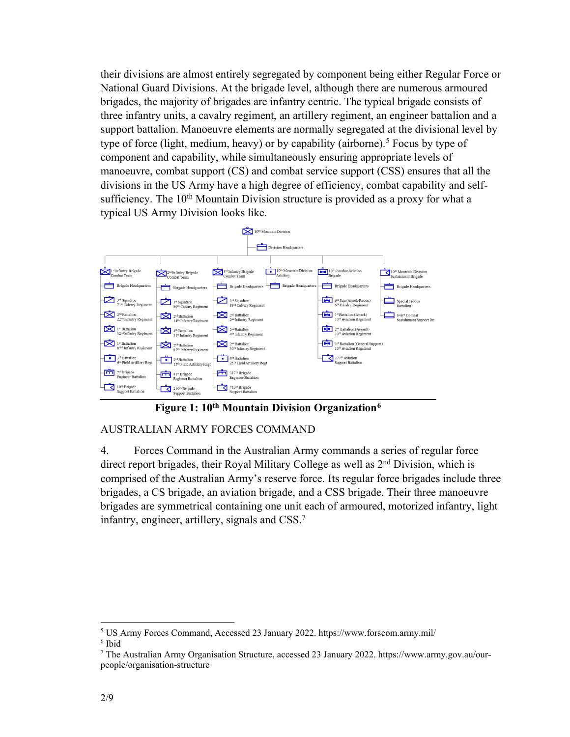their divisions are almost entirely segregated by component being either Regular Force or National Guard Divisions. At the brigade level, although there are numerous armoured brigades, the majority of brigades are infantry centric. The typical brigade consists of three infantry units, a cavalry regiment, an artillery regiment, an engineer battalion and a support battalion. Manoeuvre elements are normally segregated at the divisional level by type of force (light, medium, heavy) or by capability (airborne).<sup>5</sup> Focus by type of component and capability, while simultaneously ensuring appropriate levels of manoeuvre, combat support (CS) and combat service support (CSS) ensures that all the divisions in the US Army have a high degree of efficiency, combat capability and selfsufficiency. The 10<sup>th</sup> Mountain Division structure is provided as a proxy for what a typical US Army Division looks like.



**Figure 1: 10th Mountain Division Organization6**

# AUSTRALIAN ARMY FORCES COMMAND

4. Forces Command in the Australian Army commands a series of regular force direct report brigades, their Royal Military College as well as 2<sup>nd</sup> Division, which is comprised of the Australian Army's reserve force. Its regular force brigades include three brigades, a CS brigade, an aviation brigade, and a CSS brigade. Their three manoeuvre brigades are symmetrical containing one unit each of armoured, motorized infantry, light infantry, engineer, artillery, signals and CSS. 7

<sup>5</sup> US Army Forces Command, Accessed 23 January 2022.<https://www.forscom.army.mil/> <sup>6</sup> Ibid

<sup>7</sup> The Australian Army Organisation Structure, accessed 23 January 2022. [https://www.army.gov.au/our](https://www.army.gov.au/our-people/organisation-structure)[people/organisation-structure](https://www.army.gov.au/our-people/organisation-structure)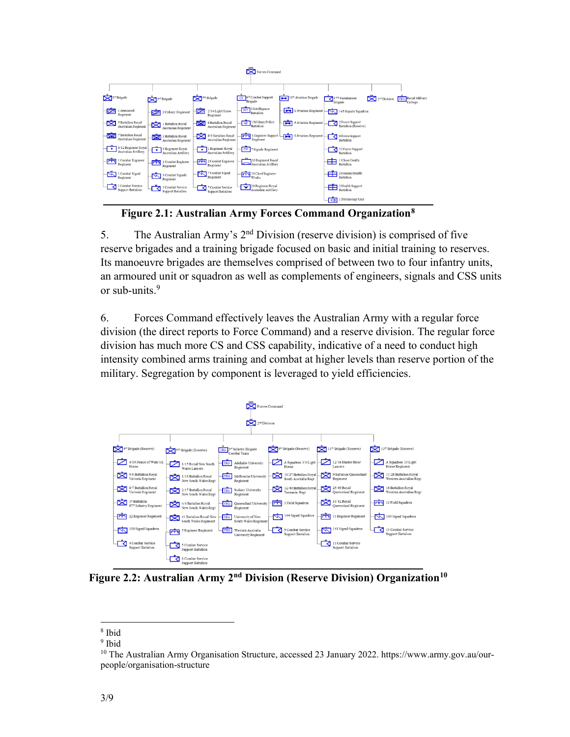| $\sim$<br>Forces Command |                                             |                  |                                                    |                               |                                            |  |                                           |      |                       |  |                                                    |                                           |                               |
|--------------------------|---------------------------------------------|------------------|----------------------------------------------------|-------------------------------|--------------------------------------------|--|-------------------------------------------|------|-----------------------|--|----------------------------------------------------|-------------------------------------------|-------------------------------|
|                          |                                             |                  |                                                    |                               |                                            |  |                                           |      |                       |  |                                                    |                                           |                               |
|                          |                                             |                  |                                                    |                               |                                            |  |                                           |      |                       |  |                                                    |                                           |                               |
|                          | $\sum$ <sup>1"</sup> Brigade                | $3^{st}$ Brigade |                                                    | $\sum$ <sup>7th</sup> Brigade |                                            |  | 6th Combat Support<br>Brigade             |      | 16th Aviation Brigade |  | $17th$ Sustainment<br>Brigade                      | $\sum$ <sub>2<sup>nd</sup></sub> Division | TRG Royal Military<br>College |
| ø                        | 1 Armoured<br>Regiment                      |                  | 2 Calvary Regiment                                 | ø                             | $2/14$ Light Horse<br>Regiment             |  | <b>INT</b> 1 Intelligence                 |      | 1 Aviation Regiment   |  | 145 Signals Squadron                               |                                           |                               |
| ₿                        | 5 Battalion Royal<br>Australian Regiment    | ⊠                | 1 Battalion Royal<br>Australian Regiment           | <u>ক্ষ</u>                    | 6 Battalion Royal<br>Australian Regiment   |  | MP 1 Military Police<br>Battalion         |      | 5 Aviation Regiment   |  | 2 Force Support<br>Battalion (Reserve)             |                                           |                               |
|                          | 7 Battalion Royal<br>Australian Regiment    |                  | 3 Battalion Royal<br>Australian Regiment           | ⊠                             | 8/9 Battalion Royal<br>Australian Regiment |  | 6 Engineer Support<br>Regiment            | न्दा | 6 Aviation Regiment   |  | 9 Force Support<br>Battalion                       |                                           |                               |
| $\bullet$                | 8/12 Regiment Royal<br>Australian Artillery |                  | $\bullet$ 4 Regiment Royal<br>Australian Artillery | $\bullet$                     | 1 Regiment Royal<br>Australian Artillery   |  | EW 7 Signals Regiment                     |      |                       |  | 10 Force Support<br>Battalion                      |                                           |                               |
|                          | 1 Combat Engineer<br>Regiment               |                  | 3 Combat Engineer<br>Regiment                      |                               | 2 Combat Engineer<br>Regiment              |  | 16 Regiment Royal<br>Australian Artillery |      |                       |  | $\frac{1}{\sqrt{2}}$ 1 Close Health<br>Battalion   |                                           |                               |
|                          | 1 Combat Signal<br>Regiment                 |                  | 3 Combat Signals<br>Regiment                       |                               | 7 Combat Signal<br>$R$ egiment             |  | 19 Chief Engineer<br>Works                |      |                       |  | $\frac{1}{\sqrt{2}}$ 2 General Health<br>Battalion |                                           |                               |
|                          | 1 Combat Service<br>Support Battalion       |                  | 3 Combat Service<br>Support Battalion              |                               | 7 Combat Service<br>Support Battalion      |  | 20 Regiment Royal<br>Australian Artillery |      |                       |  | 3 Health Support<br><b>Battalion</b>               |                                           |                               |
|                          |                                             |                  |                                                    |                               |                                            |  |                                           |      |                       |  | $\frac{1}{\sqrt{2}}$ 1 Psychology Unit             |                                           |                               |

**Figure 2.1: Australian Army Forces Command Organization8**

5. The Australian Army's 2nd Division (reserve division) is comprised of five reserve brigades and a training brigade focused on basic and initial training to reserves. Its manoeuvre brigades are themselves comprised of between two to four infantry units, an armoured unit or squadron as well as complements of engineers, signals and CSS units or sub-units $9$ 

6. Forces Command effectively leaves the Australian Army with a regular force division (the direct reports to Force Command) and a reserve division. The regular force division has much more CS and CSS capability, indicative of a need to conduct high intensity combined arms training and combat at higher levels than reserve portion of the military. Segregation by component is leveraged to yield efficiencies.



Figure 2.2: Australian Army 2<sup>nd</sup> Division (Reserve Division) Organization<sup>10</sup>

<sup>8</sup> Ibid

<sup>9</sup> Ibid

<sup>10</sup> The Australian Army Organisation Structure, accessed 23 January 2022[. https://www.army.gov.au/our](https://www.army.gov.au/our-people/organisation-structure)[people/organisation-structure](https://www.army.gov.au/our-people/organisation-structure)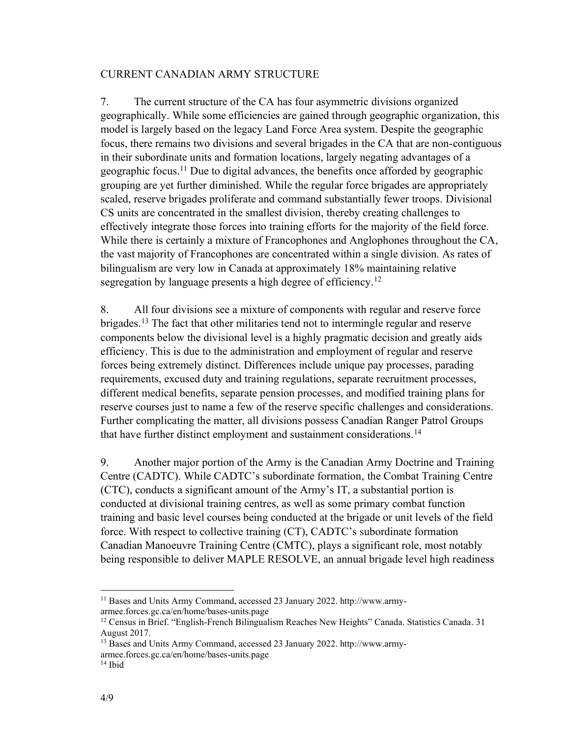#### CURRENT CANADIAN ARMY STRUCTURE

7. The current structure of the CA has four asymmetric divisions organized geographically. While some efficiencies are gained through geographic organization, this model is largely based on the legacy Land Force Area system. Despite the geographic focus, there remains two divisions and several brigades in the CA that are non-contiguous in their subordinate units and formation locations, largely negating advantages of a geographic focus.11 Due to digital advances, the benefits once afforded by geographic grouping are yet further diminished. While the regular force brigades are appropriately scaled, reserve brigades proliferate and command substantially fewer troops. Divisional CS units are concentrated in the smallest division, thereby creating challenges to effectively integrate those forces into training efforts for the majority of the field force. While there is certainly a mixture of Francophones and Anglophones throughout the CA, the vast majority of Francophones are concentrated within a single division. As rates of bilingualism are very low in Canada at approximately 18% maintaining relative segregation by language presents a high degree of efficiency.<sup>12</sup>

8. All four divisions see a mixture of components with regular and reserve force brigades.<sup>13</sup> The fact that other militaries tend not to intermingle regular and reserve components below the divisional level is a highly pragmatic decision and greatly aids efficiency. This is due to the administration and employment of regular and reserve forces being extremely distinct. Differences include unique pay processes, parading requirements, excused duty and training regulations, separate recruitment processes, different medical benefits, separate pension processes, and modified training plans for reserve courses just to name a few of the reserve specific challenges and considerations. Further complicating the matter, all divisions possess Canadian Ranger Patrol Groups that have further distinct employment and sustainment considerations.14

9. Another major portion of the Army is the Canadian Army Doctrine and Training Centre (CADTC). While CADTC's subordinate formation, the Combat Training Centre (CTC), conducts a significant amount of the Army's IT, a substantial portion is conducted at divisional training centres, as well as some primary combat function training and basic level courses being conducted at the brigade or unit levels of the field force. With respect to collective training (CT), CADTC's subordinate formation Canadian Manoeuvre Training Centre (CMTC), plays a significant role, most notably being responsible to deliver MAPLE RESOLVE, an annual brigade level high readiness

<sup>11</sup> Bases and Units Army Command, accessed 23 January 2022. [http://www.army](http://www.army-armee.forces.gc.ca/en/home/bases-units.page)[armee.forces.gc.ca/en/home/bases-units.page](http://www.army-armee.forces.gc.ca/en/home/bases-units.page)

<sup>&</sup>lt;sup>12</sup> Census in Brief. "English-French Bilingualism Reaches New Heights" Canada. Statistics Canada. 31 August 2017.

<sup>13</sup> Bases and Units Army Command, accessed 23 January 2022. [http://www.army](http://www.army-armee.forces.gc.ca/en/home/bases-units.page)[armee.forces.gc.ca/en/home/bases-units.page](http://www.army-armee.forces.gc.ca/en/home/bases-units.page)

 $14$  Ibid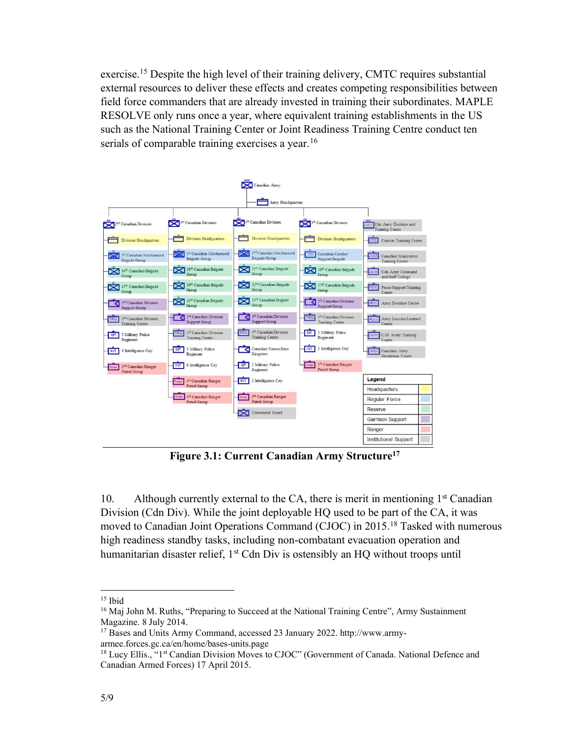exercise.<sup>15</sup> Despite the high level of their training delivery, CMTC requires substantial external resources to deliver these effects and creates competing responsibilities between field force commanders that are already invested in training their subordinates. MAPLE RESOLVE only runs once a year, where equivalent training establishments in the US such as the National Training Center or Joint Readiness Training Centre conduct ten serials of comparable training exercises a year.<sup>16</sup>



**Figure 3.1: Current Canadian Army Structure17**

10. Although currently external to the CA, there is merit in mentioning  $1<sup>st</sup>$  Canadian Division (Cdn Div). While the joint deployable HQ used to be part of the CA, it was moved to Canadian Joint Operations Command (CJOC) in 2015.<sup>18</sup> Tasked with numerous high readiness standby tasks, including non-combatant evacuation operation and humanitarian disaster relief, 1<sup>st</sup> Cdn Div is ostensibly an HO without troops until

 $15$  Ibid

<sup>&</sup>lt;sup>16</sup> Maj John M. Ruths, "Preparing to Succeed at the National Training Centre", Army Sustainment Magazine. 8 July 2014.

<sup>17</sup> Bases and Units Army Command, accessed 23 January 2022. [http://www.army](http://www.army-armee.forces.gc.ca/en/home/bases-units.page)[armee.forces.gc.ca/en/home/bases-units.page](http://www.army-armee.forces.gc.ca/en/home/bases-units.page)

<sup>&</sup>lt;sup>18</sup> Lucy Ellis., "1<sup>st</sup> Candian Division Moves to CJOC" (Government of Canada. National Defence and Canadian Armed Forces) 17 April 2015.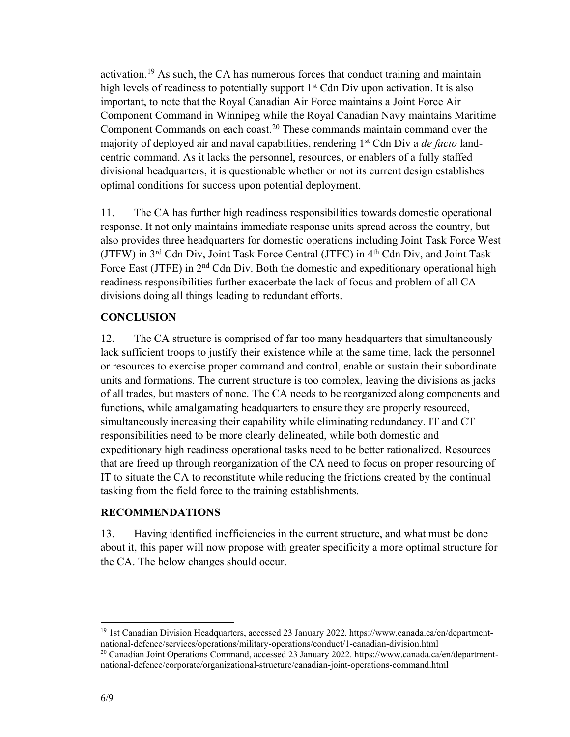activation.<sup>19</sup> As such, the CA has numerous forces that conduct training and maintain high levels of readiness to potentially support  $1<sup>st</sup>$  Cdn Div upon activation. It is also important, to note that the Royal Canadian Air Force maintains a Joint Force Air Component Command in Winnipeg while the Royal Canadian Navy maintains Maritime Component Commands on each coast. <sup>20</sup> These commands maintain command over the majority of deployed air and naval capabilities, rendering 1st Cdn Div a *de facto* landcentric command. As it lacks the personnel, resources, or enablers of a fully staffed divisional headquarters, it is questionable whether or not its current design establishes optimal conditions for success upon potential deployment.

11. The CA has further high readiness responsibilities towards domestic operational response. It not only maintains immediate response units spread across the country, but also provides three headquarters for domestic operations including Joint Task Force West (JTFW) in 3rd Cdn Div, Joint Task Force Central (JTFC) in 4th Cdn Div, and Joint Task Force East (JTFE) in 2<sup>nd</sup> Cdn Div. Both the domestic and expeditionary operational high readiness responsibilities further exacerbate the lack of focus and problem of all CA divisions doing all things leading to redundant efforts.

### **CONCLUSION**

12. The CA structure is comprised of far too many headquarters that simultaneously lack sufficient troops to justify their existence while at the same time, lack the personnel or resources to exercise proper command and control, enable or sustain their subordinate units and formations. The current structure is too complex, leaving the divisions as jacks of all trades, but masters of none. The CA needs to be reorganized along components and functions, while amalgamating headquarters to ensure they are properly resourced, simultaneously increasing their capability while eliminating redundancy. IT and CT responsibilities need to be more clearly delineated, while both domestic and expeditionary high readiness operational tasks need to be better rationalized. Resources that are freed up through reorganization of the CA need to focus on proper resourcing of IT to situate the CA to reconstitute while reducing the frictions created by the continual tasking from the field force to the training establishments.

#### **RECOMMENDATIONS**

13. Having identified inefficiencies in the current structure, and what must be done about it, this paper will now propose with greater specificity a more optimal structure for the CA. The below changes should occur.

<sup>19</sup> 1st Canadian Division Headquarters, accessed 23 January 2022. [https://www.canada.ca/en/department](https://www.canada.ca/en/department-national-defence/services/operations/military-operations/conduct/1-canadian-division.html)[national-defence/services/operations/military-operations/conduct/1-canadian-division.html](https://www.canada.ca/en/department-national-defence/services/operations/military-operations/conduct/1-canadian-division.html)

<sup>&</sup>lt;sup>20</sup> Canadian Joint Operations Command, accessed 23 January 2022. [https://www.canada.ca/en/department](https://www.canada.ca/en/department-national-defence/corporate/organizational-structure/canadian-joint-operations-command.html)[national-defence/corporate/organizational-structure/canadian-joint-operations-command.html](https://www.canada.ca/en/department-national-defence/corporate/organizational-structure/canadian-joint-operations-command.html)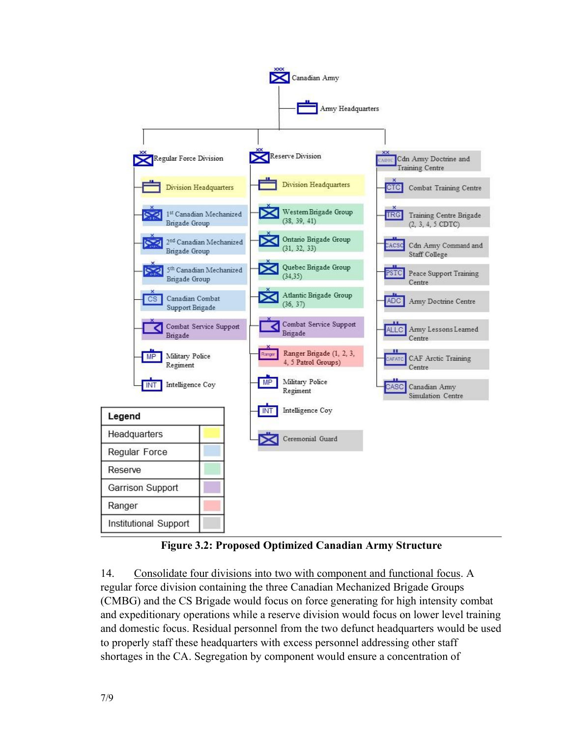

**Figure 3.2: Proposed Optimized Canadian Army Structure**

14. Consolidate four divisions into two with component and functional focus. A regular force division containing the three Canadian Mechanized Brigade Groups (CMBG) and the CS Brigade would focus on force generating for high intensity combat and expeditionary operations while a reserve division would focus on lower level training and domestic focus. Residual personnel from the two defunct headquarters would be used to properly staff these headquarters with excess personnel addressing other staff shortages in the CA. Segregation by component would ensure a concentration of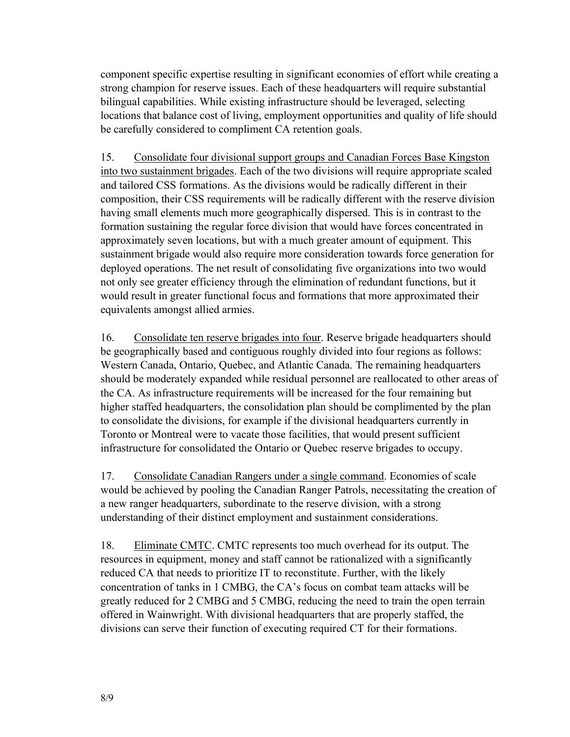component specific expertise resulting in significant economies of effort while creating a strong champion for reserve issues. Each of these headquarters will require substantial bilingual capabilities. While existing infrastructure should be leveraged, selecting locations that balance cost of living, employment opportunities and quality of life should be carefully considered to compliment CA retention goals.

15. Consolidate four divisional support groups and Canadian Forces Base Kingston into two sustainment brigades. Each of the two divisions will require appropriate scaled and tailored CSS formations. As the divisions would be radically different in their composition, their CSS requirements will be radically different with the reserve division having small elements much more geographically dispersed. This is in contrast to the formation sustaining the regular force division that would have forces concentrated in approximately seven locations, but with a much greater amount of equipment. This sustainment brigade would also require more consideration towards force generation for deployed operations. The net result of consolidating five organizations into two would not only see greater efficiency through the elimination of redundant functions, but it would result in greater functional focus and formations that more approximated their equivalents amongst allied armies.

16. Consolidate ten reserve brigades into four. Reserve brigade headquarters should be geographically based and contiguous roughly divided into four regions as follows: Western Canada, Ontario, Quebec, and Atlantic Canada. The remaining headquarters should be moderately expanded while residual personnel are reallocated to other areas of the CA. As infrastructure requirements will be increased for the four remaining but higher staffed headquarters, the consolidation plan should be complimented by the plan to consolidate the divisions, for example if the divisional headquarters currently in Toronto or Montreal were to vacate those facilities, that would present sufficient infrastructure for consolidated the Ontario or Quebec reserve brigades to occupy.

17. Consolidate Canadian Rangers under a single command. Economies of scale would be achieved by pooling the Canadian Ranger Patrols, necessitating the creation of a new ranger headquarters, subordinate to the reserve division, with a strong understanding of their distinct employment and sustainment considerations.

18. Eliminate CMTC. CMTC represents too much overhead for its output. The resources in equipment, money and staff cannot be rationalized with a significantly reduced CA that needs to prioritize IT to reconstitute. Further, with the likely concentration of tanks in 1 CMBG, the CA's focus on combat team attacks will be greatly reduced for 2 CMBG and 5 CMBG, reducing the need to train the open terrain offered in Wainwright. With divisional headquarters that are properly staffed, the divisions can serve their function of executing required CT for their formations.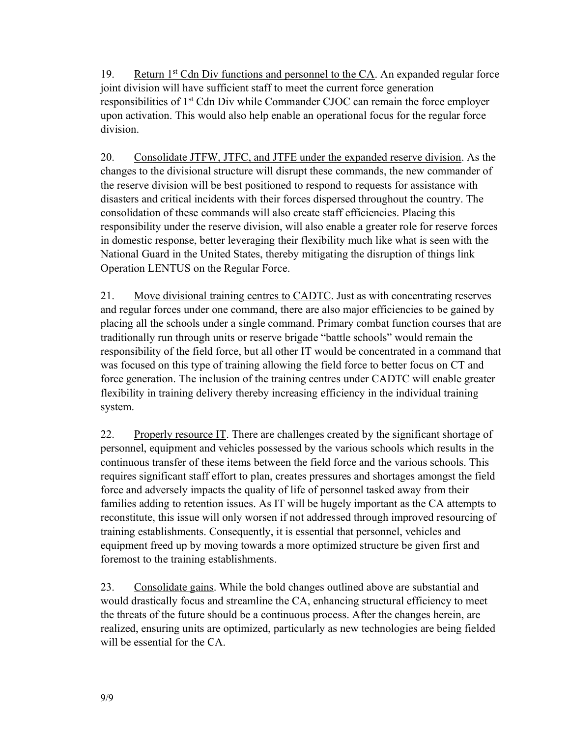19. Return 1st Cdn Div functions and personnel to the CA. An expanded regular force joint division will have sufficient staff to meet the current force generation responsibilities of 1<sup>st</sup> Cdn Div while Commander CJOC can remain the force employer upon activation. This would also help enable an operational focus for the regular force division.

20. Consolidate JTFW, JTFC, and JTFE under the expanded reserve division. As the changes to the divisional structure will disrupt these commands, the new commander of the reserve division will be best positioned to respond to requests for assistance with disasters and critical incidents with their forces dispersed throughout the country. The consolidation of these commands will also create staff efficiencies. Placing this responsibility under the reserve division, will also enable a greater role for reserve forces in domestic response, better leveraging their flexibility much like what is seen with the National Guard in the United States, thereby mitigating the disruption of things link Operation LENTUS on the Regular Force.

21. Move divisional training centres to CADTC. Just as with concentrating reserves and regular forces under one command, there are also major efficiencies to be gained by placing all the schools under a single command. Primary combat function courses that are traditionally run through units or reserve brigade "battle schools" would remain the responsibility of the field force, but all other IT would be concentrated in a command that was focused on this type of training allowing the field force to better focus on CT and force generation. The inclusion of the training centres under CADTC will enable greater flexibility in training delivery thereby increasing efficiency in the individual training system.

22. Properly resource IT. There are challenges created by the significant shortage of personnel, equipment and vehicles possessed by the various schools which results in the continuous transfer of these items between the field force and the various schools. This requires significant staff effort to plan, creates pressures and shortages amongst the field force and adversely impacts the quality of life of personnel tasked away from their families adding to retention issues. As IT will be hugely important as the CA attempts to reconstitute, this issue will only worsen if not addressed through improved resourcing of training establishments. Consequently, it is essential that personnel, vehicles and equipment freed up by moving towards a more optimized structure be given first and foremost to the training establishments.

23. Consolidate gains. While the bold changes outlined above are substantial and would drastically focus and streamline the CA, enhancing structural efficiency to meet the threats of the future should be a continuous process. After the changes herein, are realized, ensuring units are optimized, particularly as new technologies are being fielded will be essential for the CA.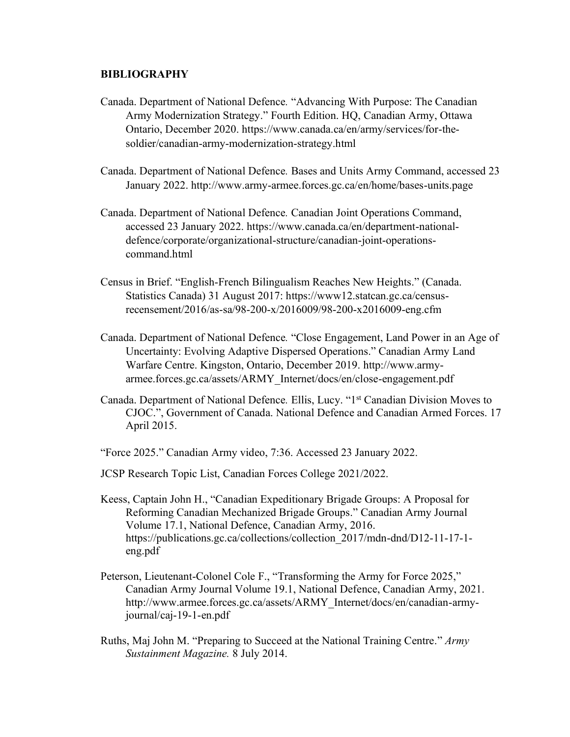#### **BIBLIOGRAPHY**

- Canada. Department of National Defence*.* "Advancing With Purpose: The Canadian Army Modernization Strategy." Fourth Edition. HQ, Canadian Army, Ottawa Ontario, December 2020. https://www.canada.ca/en/army/services/for-thesoldier/canadian-army-modernization-strategy.html
- Canada. Department of National Defence*.* Bases and Units Army Command, accessed 23 January 2022.<http://www.army-armee.forces.gc.ca/en/home/bases-units.page>
- Canada. Department of National Defence*.* Canadian Joint Operations Command, accessed 23 January 2022. [https://www.canada.ca/en/department-national](https://www.canada.ca/en/department-national-defence/corporate/organizational-structure/canadian-joint-operations-command.html)[defence/corporate/organizational-structure/canadian-joint-operations](https://www.canada.ca/en/department-national-defence/corporate/organizational-structure/canadian-joint-operations-command.html)[command.html](https://www.canada.ca/en/department-national-defence/corporate/organizational-structure/canadian-joint-operations-command.html)
- Census in Brief. "English-French Bilingualism Reaches New Heights." (Canada. Statistics Canada) 31 August 2017: https://www12.statcan.gc.ca/censusrecensement/2016/as-sa/98-200-x/2016009/98-200-x2016009-eng.cfm
- Canada. Department of National Defence*.* "Close Engagement, Land Power in an Age of Uncertainty: Evolving Adaptive Dispersed Operations." Canadian Army Land Warfare Centre. Kingston, Ontario, December 2019. http://www.armyarmee.forces.gc.ca/assets/ARMY\_Internet/docs/en/close-engagement.pdf
- Canada. Department of National Defence*.* Ellis, Lucy. "1st Canadian Division Moves to CJOC.", Government of Canada. National Defence and Canadian Armed Forces. 17 April 2015.
- "Force 2025." Canadian Army video, 7:36. Accessed 23 January 2022.
- JCSP Research Topic List, Canadian Forces College 2021/2022.
- Keess, Captain John H., "Canadian Expeditionary Brigade Groups: A Proposal for Reforming Canadian Mechanized Brigade Groups." Canadian Army Journal Volume 17.1, National Defence, Canadian Army, 2016. https://publications.gc.ca/collections/collection\_2017/mdn-dnd/D12-11-17-1 eng.pdf
- Peterson, Lieutenant-Colonel Cole F., "Transforming the Army for Force 2025," Canadian Army Journal Volume 19.1, National Defence, Canadian Army, 2021. http://www.armee.forces.gc.ca/assets/ARMY\_Internet/docs/en/canadian-armyjournal/caj-19-1-en.pdf
- Ruths, Maj John M. "Preparing to Succeed at the National Training Centre." *Army Sustainment Magazine.* 8 July 2014.